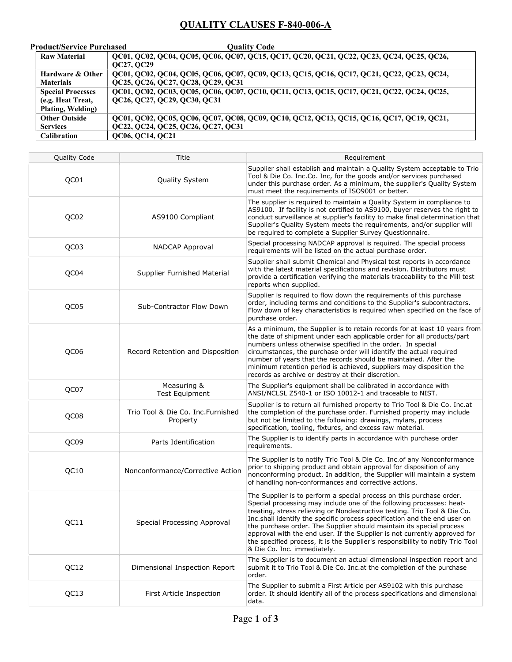## QUALITY CLAUSES F-840-006-A

| <b>Product/Service Purchased</b>                                   | Quality Code                                                                                                                    |
|--------------------------------------------------------------------|---------------------------------------------------------------------------------------------------------------------------------|
| <b>Raw Material</b>                                                | QC01, QC02, QC04, QC05, QC06, QC07, QC15, QC17, QC20, QC21, QC22, QC23, QC24, QC25, QC26,<br>QC27, QC29                         |
| <b>Hardware &amp; Other</b><br><b>Materials</b>                    | QC01, QC02, QC04, QC05, QC06, QC07, QC09, QC13, QC15, QC16, QC17, QC21, QC22, QC23, QC24,<br>QC25, QC26, QC27, QC28, QC29, QC31 |
| <b>Special Processes</b><br>(e.g. Heat Treat,<br>Plating, Welding) | QC01, QC02, QC03, QC05, QC06, QC07, QC10, QC11, QC13, QC15, QC17, QC21, QC22, QC24, QC25,<br>QC26, QC27, QC29, QC30, QC31       |
| <b>Other Outside</b><br><b>Services</b>                            | QC01, QC02, QC05, QC06, QC07, QC08, QC09, QC10, QC12, QC13, QC15, QC16, QC17, QC19, QC21,<br>QC22, QC24, QC25, QC26, QC27, QC31 |
| Calibration                                                        | QC06, QC14, QC21                                                                                                                |

| <b>Quality Code</b> | Title                                          | Requirement                                                                                                                                                                                                                                                                                                                                                                                                                                                                                                                                                                  |
|---------------------|------------------------------------------------|------------------------------------------------------------------------------------------------------------------------------------------------------------------------------------------------------------------------------------------------------------------------------------------------------------------------------------------------------------------------------------------------------------------------------------------------------------------------------------------------------------------------------------------------------------------------------|
| QC01                | Quality System                                 | Supplier shall establish and maintain a Quality System acceptable to Trio<br>Tool & Die Co. Inc.Co. Inc, for the goods and/or services purchased<br>under this purchase order. As a minimum, the supplier's Quality System<br>must meet the requirements of ISO9001 or better.                                                                                                                                                                                                                                                                                               |
| QC02                | AS9100 Compliant                               | The supplier is required to maintain a Quality System in compliance to<br>AS9100. If facility is not certified to AS9100, buyer reserves the right to<br>conduct surveillance at supplier's facility to make final determination that<br>Supplier's Quality System meets the requirements, and/or supplier will<br>be required to complete a Supplier Survey Questionnaire.                                                                                                                                                                                                  |
| QC03                | NADCAP Approval                                | Special processing NADCAP approval is required. The special process<br>requirements will be listed on the actual purchase order.                                                                                                                                                                                                                                                                                                                                                                                                                                             |
| QC04                | Supplier Furnished Material                    | Supplier shall submit Chemical and Physical test reports in accordance<br>with the latest material specifications and revision. Distributors must<br>provide a certification verifying the materials traceability to the Mill test<br>reports when supplied.                                                                                                                                                                                                                                                                                                                 |
| QC05                | Sub-Contractor Flow Down                       | Supplier is required to flow down the requirements of this purchase<br>order, including terms and conditions to the Supplier's subcontractors.<br>Flow down of key characteristics is required when specified on the face of<br>purchase order.                                                                                                                                                                                                                                                                                                                              |
| QC06                | Record Retention and Disposition               | As a minimum, the Supplier is to retain records for at least 10 years from<br>the date of shipment under each applicable order for all products/part<br>numbers unless otherwise specified in the order. In special<br>circumstances, the purchase order will identify the actual required<br>number of years that the records should be maintained. After the<br>minimum retention period is achieved, suppliers may disposition the<br>records as archive or destroy at their discretion.                                                                                  |
| QC07                | Measuring &<br><b>Test Equipment</b>           | The Supplier's equipment shall be calibrated in accordance with<br>ANSI/NCLSL Z540-1 or ISO 10012-1 and traceable to NIST.                                                                                                                                                                                                                                                                                                                                                                                                                                                   |
| QC08                | Trio Tool & Die Co. Inc. Furnished<br>Property | Supplier is to return all furnished property to Trio Tool & Die Co. Inc.at<br>the completion of the purchase order. Furnished property may include<br>but not be limited to the following: drawings, mylars, process<br>specification, tooling, fixtures, and excess raw material.                                                                                                                                                                                                                                                                                           |
| QC09                | Parts Identification                           | The Supplier is to identify parts in accordance with purchase order<br>requirements.                                                                                                                                                                                                                                                                                                                                                                                                                                                                                         |
| QC10                | Nonconformance/Corrective Action               | The Supplier is to notify Trio Tool & Die Co. Inc. of any Nonconformance<br>prior to shipping product and obtain approval for disposition of any<br>nonconforming product. In addition, the Supplier will maintain a system<br>of handling non-conformances and corrective actions.                                                                                                                                                                                                                                                                                          |
| QC11                | Special Processing Approval                    | The Supplier is to perform a special process on this purchase order.<br>Special processing may include one of the following processes: heat-<br>treating, stress relieving or Nondestructive testing. Trio Tool & Die Co.<br>Inc.shall identify the specific process specification and the end user on<br>the purchase order. The Supplier should maintain its special process<br>approval with the end user. If the Supplier is not currently approved for<br>the specified process, it is the Supplier's responsibility to notify Trio Tool<br>& Die Co. Inc. immediately. |
| QC12                | Dimensional Inspection Report                  | The Supplier is to document an actual dimensional inspection report and<br>submit it to Trio Tool & Die Co. Inc. at the completion of the purchase<br>order.                                                                                                                                                                                                                                                                                                                                                                                                                 |
| QC13                | First Article Inspection                       | The Supplier to submit a First Article per AS9102 with this purchase<br>order. It should identify all of the process specifications and dimensional<br>data.                                                                                                                                                                                                                                                                                                                                                                                                                 |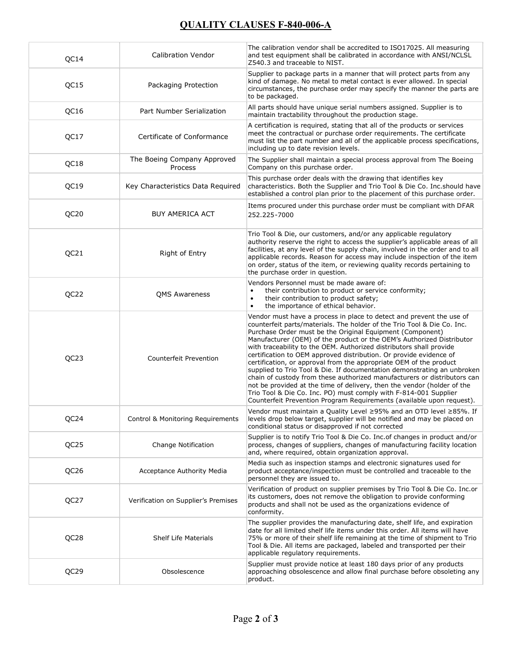## QUALITY CLAUSES F-840-006-A

| QC14             | <b>Calibration Vendor</b>              | The calibration vendor shall be accredited to ISO17025. All measuring<br>and test equipment shall be calibrated in accordance with ANSI/NCLSL<br>Z540.3 and traceable to NIST.                                                                                                                                                                                                                                                                                                                                                                                                                                                                                                                                                                                                                                                                                                          |
|------------------|----------------------------------------|-----------------------------------------------------------------------------------------------------------------------------------------------------------------------------------------------------------------------------------------------------------------------------------------------------------------------------------------------------------------------------------------------------------------------------------------------------------------------------------------------------------------------------------------------------------------------------------------------------------------------------------------------------------------------------------------------------------------------------------------------------------------------------------------------------------------------------------------------------------------------------------------|
| QC15             | Packaging Protection                   | Supplier to package parts in a manner that will protect parts from any<br>kind of damage. No metal to metal contact is ever allowed. In special<br>circumstances, the purchase order may specify the manner the parts are<br>to be packaged.                                                                                                                                                                                                                                                                                                                                                                                                                                                                                                                                                                                                                                            |
| QC16             | Part Number Serialization              | All parts should have unique serial numbers assigned. Supplier is to<br>maintain tractability throughout the production stage.                                                                                                                                                                                                                                                                                                                                                                                                                                                                                                                                                                                                                                                                                                                                                          |
| QC17             | Certificate of Conformance             | A certification is required, stating that all of the products or services<br>meet the contractual or purchase order requirements. The certificate<br>must list the part number and all of the applicable process specifications,<br>including up to date revision levels.                                                                                                                                                                                                                                                                                                                                                                                                                                                                                                                                                                                                               |
| QC18             | The Boeing Company Approved<br>Process | The Supplier shall maintain a special process approval from The Boeing<br>Company on this purchase order.                                                                                                                                                                                                                                                                                                                                                                                                                                                                                                                                                                                                                                                                                                                                                                               |
| QC19             | Key Characteristics Data Required      | This purchase order deals with the drawing that identifies key<br>characteristics. Both the Supplier and Trio Tool & Die Co. Inc.should have<br>established a control plan prior to the placement of this purchase order.                                                                                                                                                                                                                                                                                                                                                                                                                                                                                                                                                                                                                                                               |
| QC20             | <b>BUY AMERICA ACT</b>                 | Items procured under this purchase order must be compliant with DFAR<br>252.225-7000                                                                                                                                                                                                                                                                                                                                                                                                                                                                                                                                                                                                                                                                                                                                                                                                    |
| QC21             | Right of Entry                         | Trio Tool & Die, our customers, and/or any applicable regulatory<br>authority reserve the right to access the supplier's applicable areas of all<br>facilities, at any level of the supply chain, involved in the order and to all<br>applicable records. Reason for access may include inspection of the item<br>on order, status of the item, or reviewing quality records pertaining to<br>the purchase order in question.                                                                                                                                                                                                                                                                                                                                                                                                                                                           |
| QC22             | <b>QMS Awareness</b>                   | Vendors Personnel must be made aware of:<br>their contribution to product or service conformity;<br>$\bullet$<br>their contribution to product safety;<br>$\bullet$<br>the importance of ethical behavior.<br>$\bullet$                                                                                                                                                                                                                                                                                                                                                                                                                                                                                                                                                                                                                                                                 |
| QC <sub>23</sub> | Counterfeit Prevention                 | Vendor must have a process in place to detect and prevent the use of<br>counterfeit parts/materials. The holder of the Trio Tool & Die Co. Inc.<br>Purchase Order must be the Original Equipment (Component)<br>Manufacturer (OEM) of the product or the OEM's Authorized Distributor<br>with traceability to the OEM. Authorized distributors shall provide<br>certification to OEM approved distribution. Or provide evidence of<br>certification, or approval from the appropriate OEM of the product<br>supplied to Trio Tool & Die. If documentation demonstrating an unbroken<br>chain of custody from these authorized manufacturers or distributors can<br>not be provided at the time of delivery, then the vendor (holder of the<br>Trio Tool & Die Co. Inc. PO) must comply with F-814-001 Supplier<br>Counterfeit Prevention Program Requirements (available upon request). |
| QC24             | Control & Monitoring Requirements      | Vendor must maintain a Quality Level ≥95% and an OTD level ≥85%. If<br>levels drop below target, supplier will be notified and may be placed on<br>conditional status or disapproved if not corrected                                                                                                                                                                                                                                                                                                                                                                                                                                                                                                                                                                                                                                                                                   |
| QC25             | Change Notification                    | Supplier is to notify Trio Tool & Die Co. Inc. of changes in product and/or<br>process, changes of suppliers, changes of manufacturing facility location<br>and, where required, obtain organization approval.                                                                                                                                                                                                                                                                                                                                                                                                                                                                                                                                                                                                                                                                          |
| QC26             | <b>Acceptance Authority Media</b>      | Media such as inspection stamps and electronic signatures used for<br>product acceptance/inspection must be controlled and traceable to the<br>personnel they are issued to.                                                                                                                                                                                                                                                                                                                                                                                                                                                                                                                                                                                                                                                                                                            |
| QC27             | Verification on Supplier's Premises    | Verification of product on supplier premises by Trio Tool & Die Co. Inc.or<br>its customers, does not remove the obligation to provide conforming<br>products and shall not be used as the organizations evidence of<br>conformity.                                                                                                                                                                                                                                                                                                                                                                                                                                                                                                                                                                                                                                                     |
| QC28             | <b>Shelf Life Materials</b>            | The supplier provides the manufacturing date, shelf life, and expiration<br>date for all limited shelf life items under this order. All items will have<br>75% or more of their shelf life remaining at the time of shipment to Trio<br>Tool & Die. All items are packaged, labeled and transported per their<br>applicable regulatory requirements.                                                                                                                                                                                                                                                                                                                                                                                                                                                                                                                                    |
| QC29             | Obsolescence                           | Supplier must provide notice at least 180 days prior of any products<br>approaching obsolescence and allow final purchase before obsoleting any<br>product.                                                                                                                                                                                                                                                                                                                                                                                                                                                                                                                                                                                                                                                                                                                             |